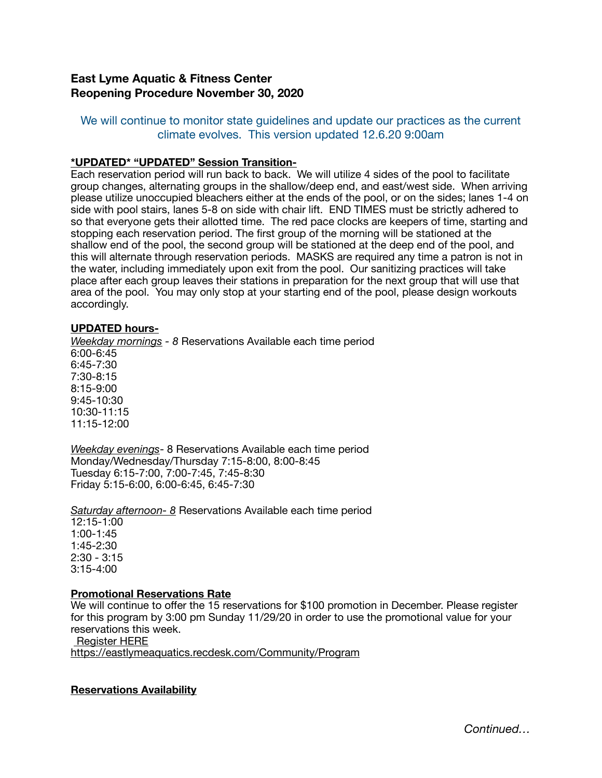# **East Lyme Aquatic & Fitness Center Reopening Procedure November 30, 2020**

## We will continue to monitor state guidelines and update our practices as the current climate evolves. This version updated 12.6.20 9:00am

### **\*UPDATED\* "UPDATED" Session Transition-**

Each reservation period will run back to back. We will utilize 4 sides of the pool to facilitate group changes, alternating groups in the shallow/deep end, and east/west side. When arriving please utilize unoccupied bleachers either at the ends of the pool, or on the sides; lanes 1-4 on side with pool stairs, lanes 5-8 on side with chair lift. END TIMES must be strictly adhered to so that everyone gets their allotted time. The red pace clocks are keepers of time, starting and stopping each reservation period. The first group of the morning will be stationed at the shallow end of the pool, the second group will be stationed at the deep end of the pool, and this will alternate through reservation periods. MASKS are required any time a patron is not in the water, including immediately upon exit from the pool. Our sanitizing practices will take place after each group leaves their stations in preparation for the next group that will use that area of the pool. You may only stop at your starting end of the pool, please design workouts accordingly.

### **UPDATED hours-**

*Weekday mornings - 8* Reservations Available each time period 6:00-6:45 6:45-7:30 7:30-8:15 8:15-9:00 9:45-10:30 10:30-11:15 11:15-12:00

*Weekday evenings*- 8 Reservations Available each time period Monday/Wednesday/Thursday 7:15-8:00, 8:00-8:45 Tuesday 6:15-7:00, 7:00-7:45, 7:45-8:30 Friday 5:15-6:00, 6:00-6:45, 6:45-7:30

*Saturday afternoon- 8* Reservations Available each time period 12:15-1:00 1:00-1:45 1:45-2:30 2:30 - 3:15 3:15-4:00

#### **Promotional Reservations Rate**

We will continue to offer the 15 reservations for \$100 promotion in December. Please register for this program by 3:00 pm Sunday 11/29/20 in order to use the promotional value for your reservations this week.

 [Register HERE](https://eastlymeaquatics.recdesk.com/Community/Program)

<https://eastlymeaquatics.recdesk.com/Community/Program>

**Reservations Availability**